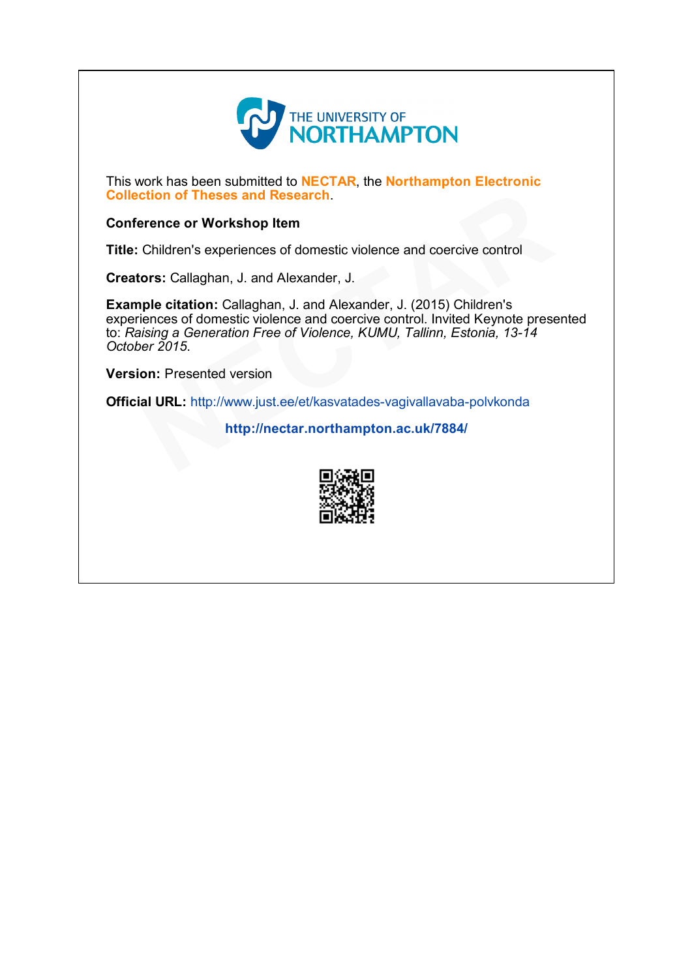

This work has been submitted to NECTAR, the Northampton Electronic Collection of Theses and Research.

#### Conference or Workshop Item

Title: Children's experiences of domestic violence and coercive control

Creators: Callaghan, J. and Alexander, J.

Example citation: Callaghan, J. and Alexander, J. (2015) Children's experiences of domestic violence and coercive control. Invited Keynote presented to: Raising a Generation Free of Violence, KUMU, Tallinn, Estonia, 13-14 October 2015. **Example 19: The Same Properties School Section**<br>
Frence or Workshop Item<br>
Children's experiences of domestic violence and coercive control<br> **ors:** Callaghan, J. and Alexander, J. (2015) Children's<br>
liences of domestic vio

Version: Presented version

Official URL: http://www.just.ee/et/kasvatades-vagivallavaba-polvkonda

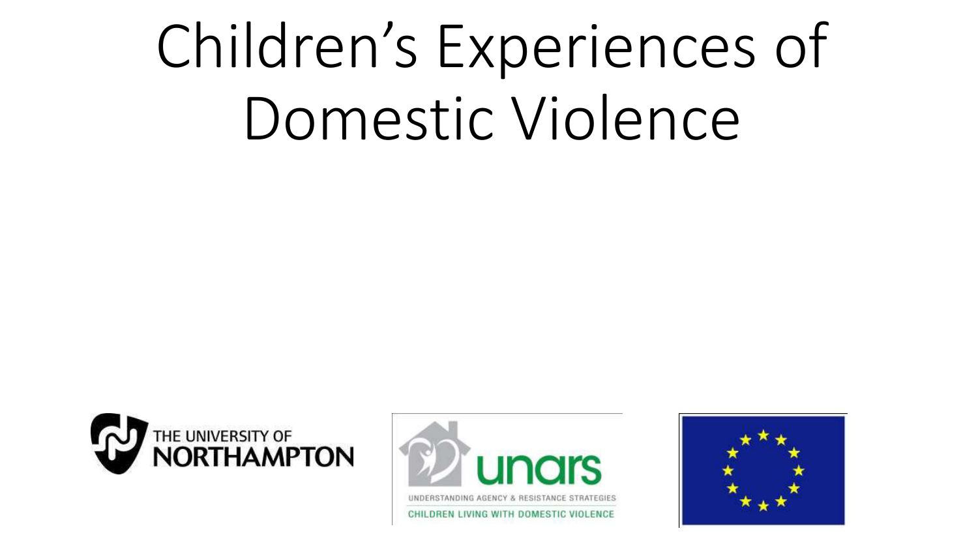# Children's Experiences of Domestic Violence





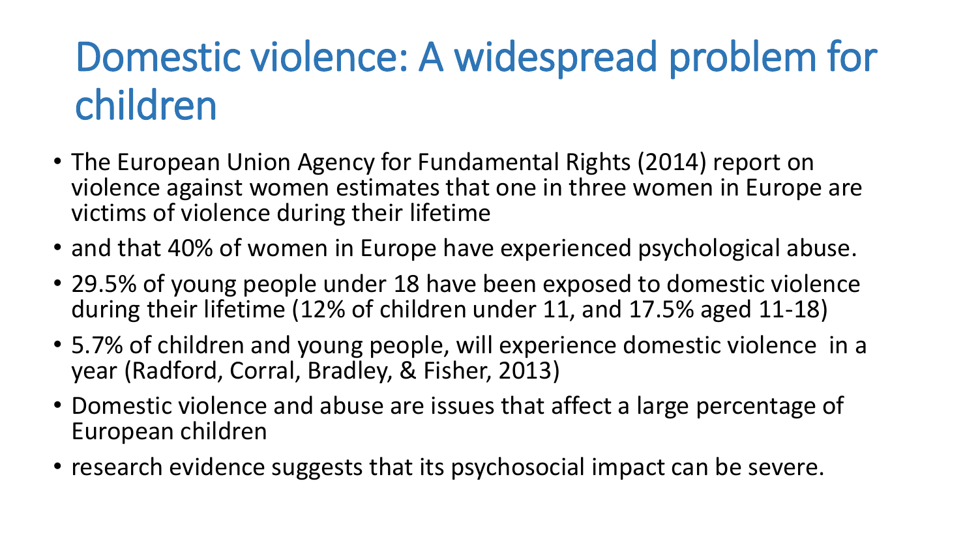### Domestic violence: A widespread problem for children

- The European Union Agency for Fundamental Rights (2014) report on violence against women estimates that one in three women in Europe are victims of violence during their lifetime
- and that 40% of women in Europe have experienced psychological abuse.
- 29.5% of young people under 18 have been exposed to domestic violence during their lifetime (12% of children under 11, and 17.5% aged 11-18)
- 5.7% of children and young people, will experience domestic violence in a year (Radford, Corral, Bradley, & Fisher, 2013)
- Domestic violence and abuse are issues that affect a large percentage of European children
- research evidence suggests that its psychosocial impact can be severe.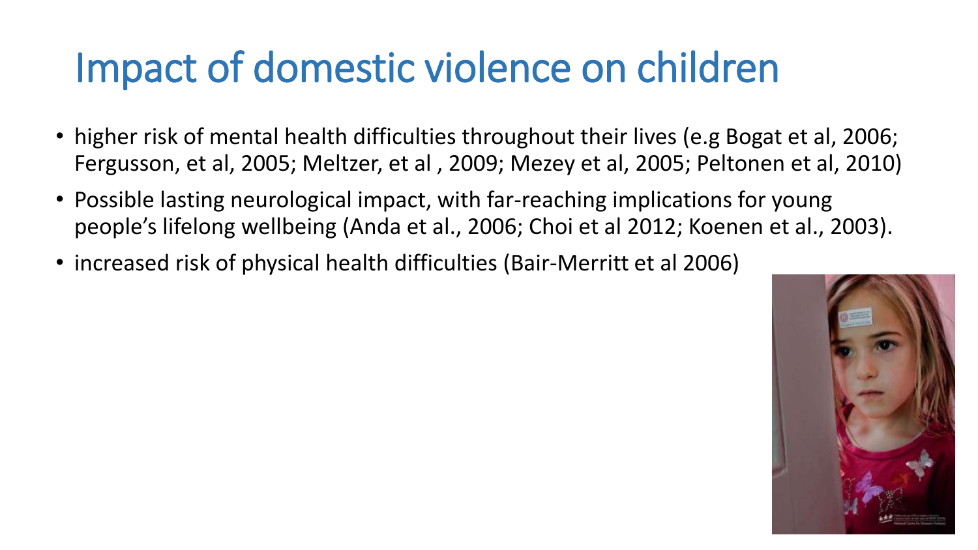### Impact of domestic violence on children

- higher risk of mental health difficulties throughout their lives (e.g Bogat et al, 2006; Fergusson, et al, 2005; Meltzer, et al , 2009; Mezey et al, 2005; Peltonen et al, 2010)
- Possible lasting neurological impact, with far-reaching implications for young people's lifelong wellbeing (Anda et al., 2006; Choi et al 2012; Koenen et al., 2003).
- increased risk of physical health difficulties (Bair-Merritt et al 2006)

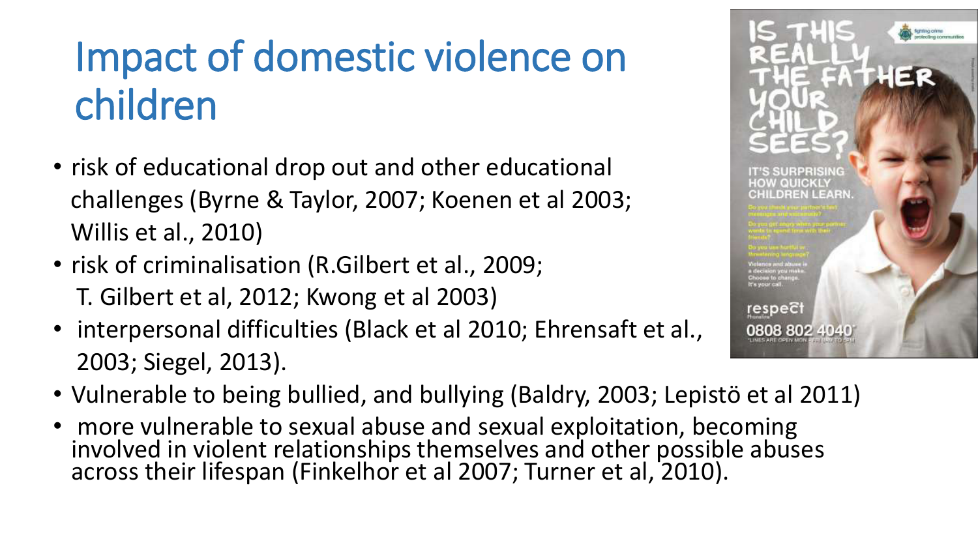### Impact of domestic violence on children

- risk of educational drop out and other educational challenges (Byrne & Taylor, 2007; Koenen et al 2003; Willis et al., 2010)
- risk of criminalisation (R.Gilbert et al., 2009; T. Gilbert et al, 2012; Kwong et al 2003)
- interpersonal difficulties (Black et al 2010; Ehrensaft et al., 2003; Siegel, 2013).
- Vulnerable to being bullied, and bullying (Baldry, 2003; Lepistö et al 2011)
- more vulnerable to sexual abuse and sexual exploitation, becoming involved in violent relationships themselves and other possible abuses across their lifespan (Finkelhor et al 2007; Turner et al, 2010).

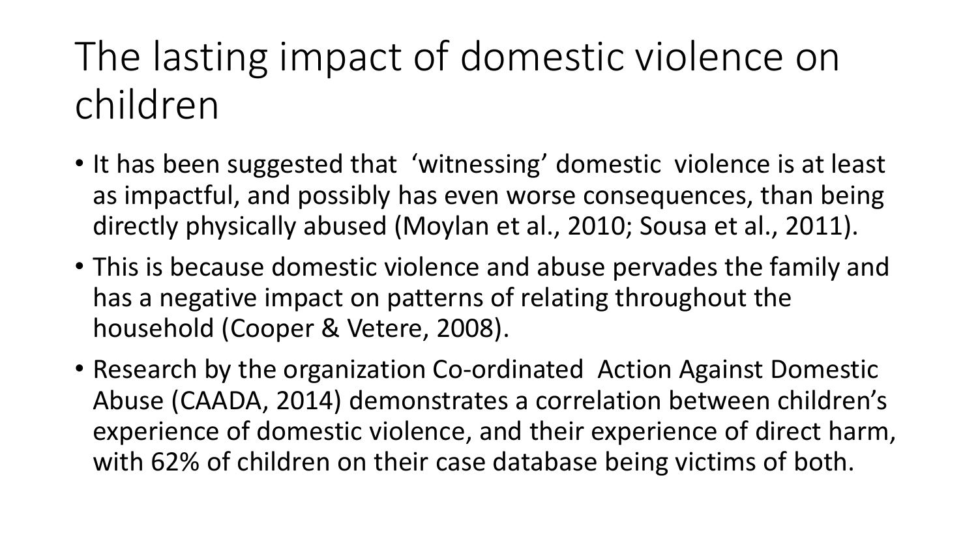### The lasting impact of domestic violence on children

- It has been suggested that 'witnessing' domestic violence is at least as impactful, and possibly has even worse consequences, than being directly physically abused (Moylan et al., 2010; Sousa et al., 2011).
- This is because domestic violence and abuse pervades the family and has a negative impact on patterns of relating throughout the household (Cooper & Vetere, 2008).
- Research by the organization Co-ordinated Action Against Domestic Abuse (CAADA, 2014) demonstrates a correlation between children's experience of domestic violence, and their experience of direct harm, with 62% of children on their case database being victims of both.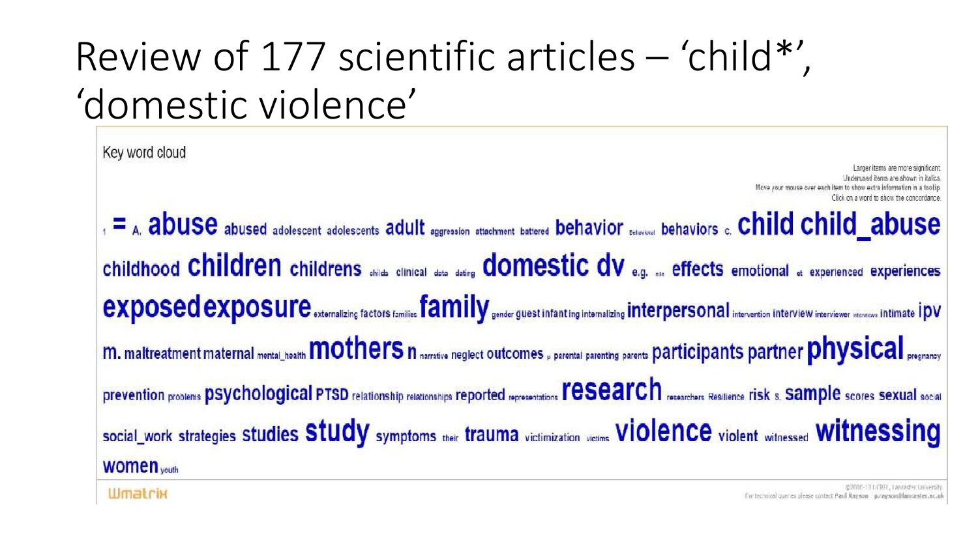### Review of 177 scientific articles - 'child\*'. 'domestic violence'

Key word cloud Move your mouse over each item 1 = A. abused adolescent adolescents adolescents adult aggression attachment battered behavior Dechaviors c. Child child abuse Childhood Children childrens ohilds clinical data dating domestic dv e.g. on effects emotional at experienced experiences **exposed exposure** externalizing factors families family gender guest infant ing internalizing Interpersonal intervention interview interviewer interviewer interviewer interviewer interviewer interviewer interviewer interv m. maltreatment maternal mental\_health mother sn narrative neglect outcomes, parental parenting parents participants partner physical pregnancy prevention problems psychological PTSD relationship relationships Teported representations record of PSCarchers Resilience risk s. Sample scores sexual social social\_work strategies Studies Study symptoms their trauma victimization victims Violence violent witnessed witnessed WOMen<sub>youth</sub>

**Wmatrix** 

@2000-131/CRFL, Lancadar University For technical queres please contect Paul Rayson : p.rayson@lancaster.ac.uk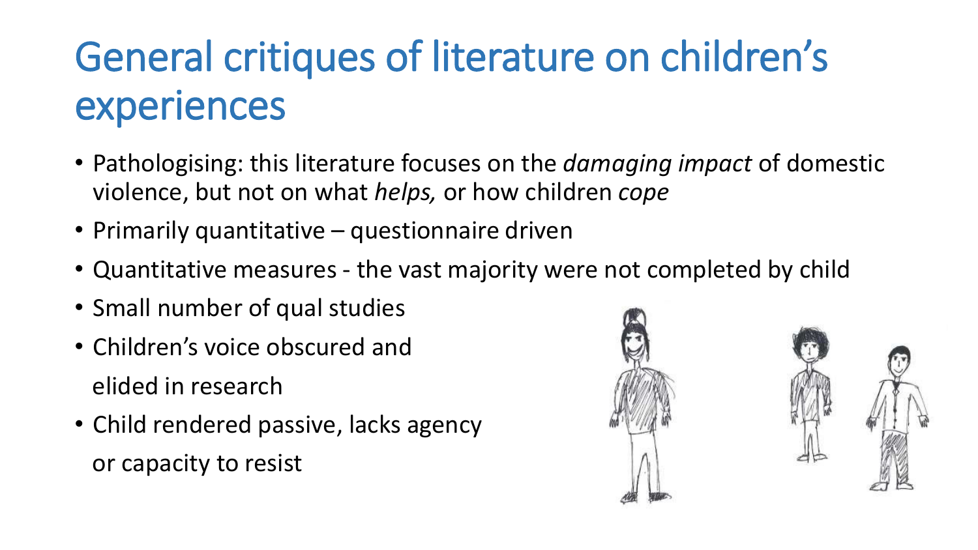## General critiques of literature on children's experiences

- Pathologising: this literature focuses on the *damaging impact* of domestic violence, but not on what *helps*, or how children cope
- Primarily quantitative questionnaire driven
- Quantitative measures the vast majority were not completed by child
- Small number of qual studies
- Children's voice obscured and elided in research
- Child rendered passive, lacks agency or capacity to resist



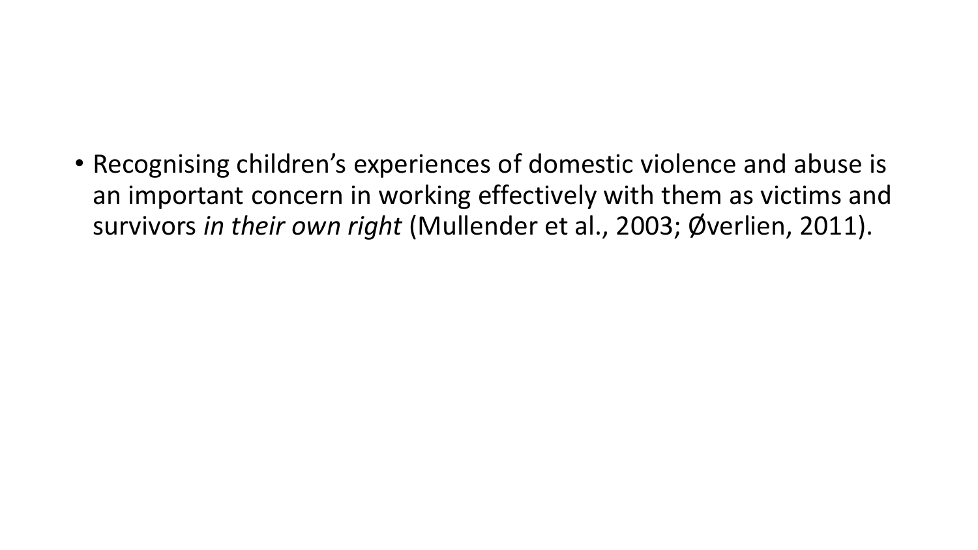• Recognising children's experiences of domestic violence and abuse is an important concern in working effectively with them as victims and survivors in their own right (Mullender et al., 2003; Øverlien, 2011).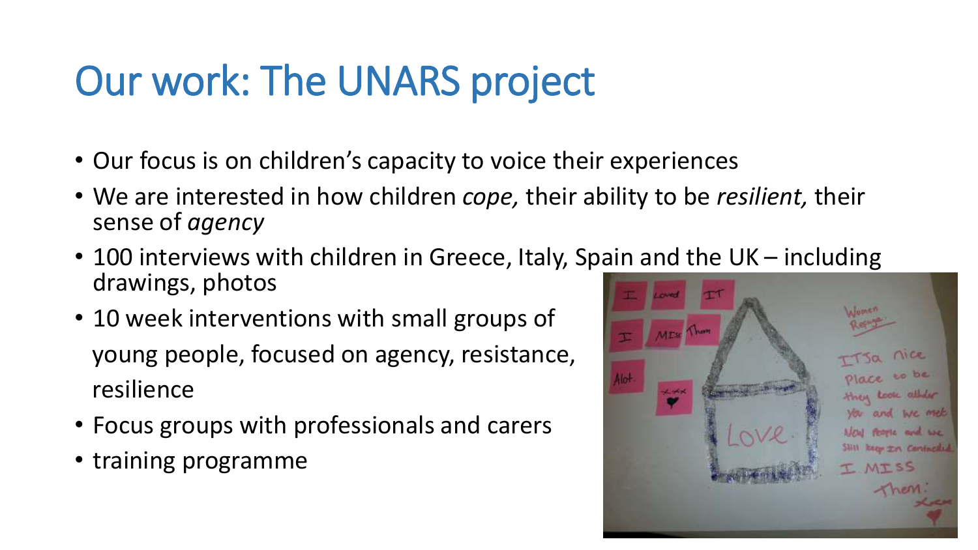### Our work: The UNARS project

- Our focus is on children's capacity to voice their experiences
- We are interested in how children *cope,* their ability to be *resilient,* their sense of *agency*
- 100 interviews with children in Greece, Italy, Spain and the UK including drawings, photos
- 10 week interventions with small groups of young people, focused on agency, resistance, resilience
- Focus groups with professionals and carers
- training programme

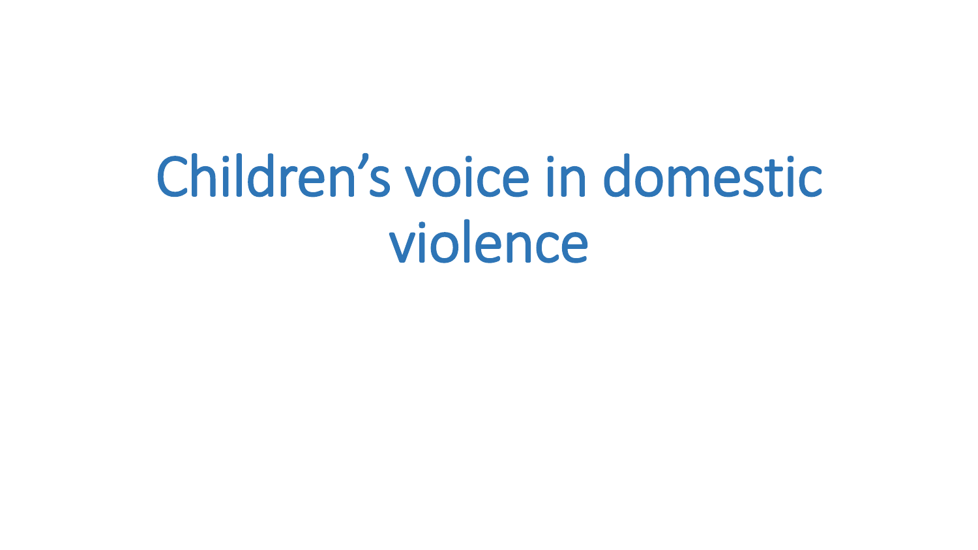## Children's voice in domestic violence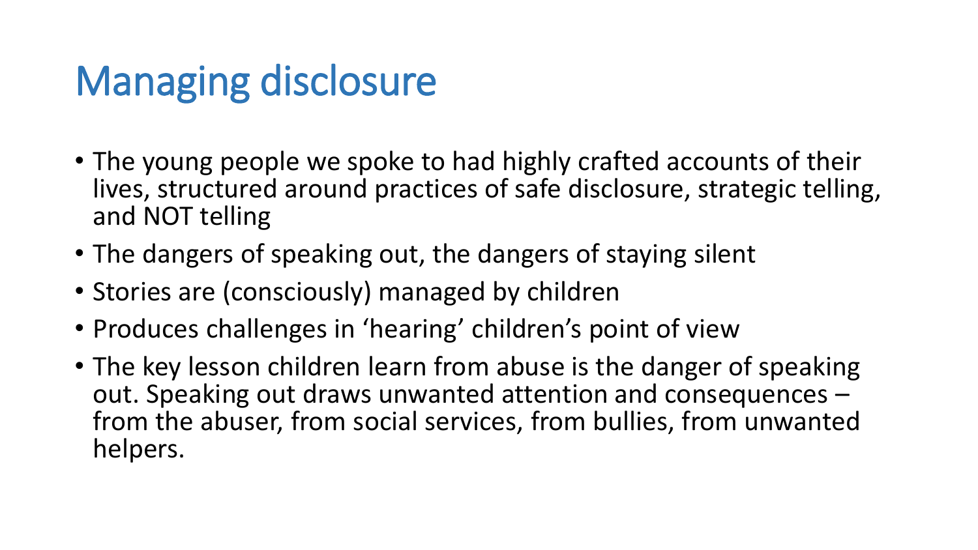### Managing disclosure

- The young people we spoke to had highly crafted accounts of their lives, structured around practices of safe disclosure, strategic telling, and NOT telling
- The dangers of speaking out, the dangers of staying silent
- Stories are (consciously) managed by children
- Produces challenges in 'hearing' children's point of view
- The key lesson children learn from abuse is the danger of speaking out. Speaking out draws unwanted attention and consequences – from the abuser, from social services, from bullies, from unwanted helpers.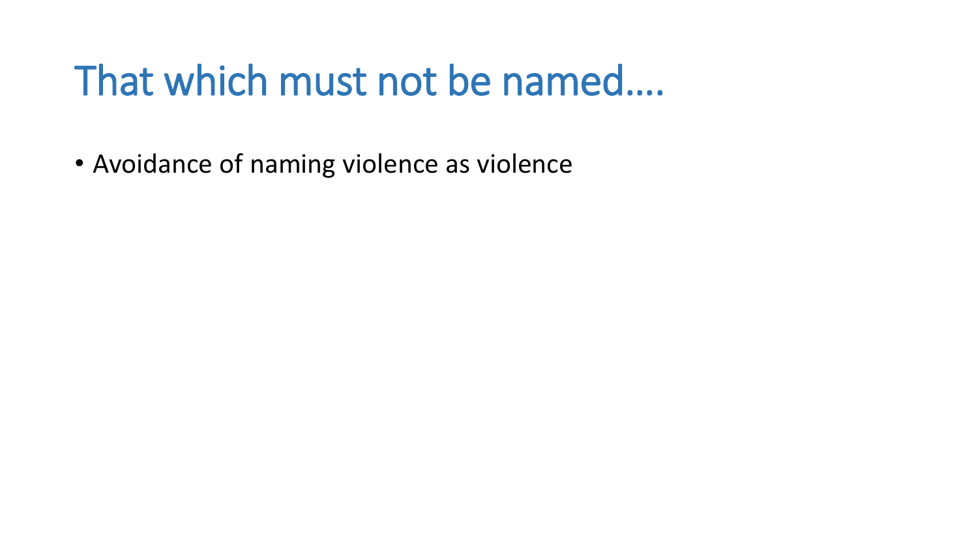### That which must not be named....

• Avoidance of naming violence as violence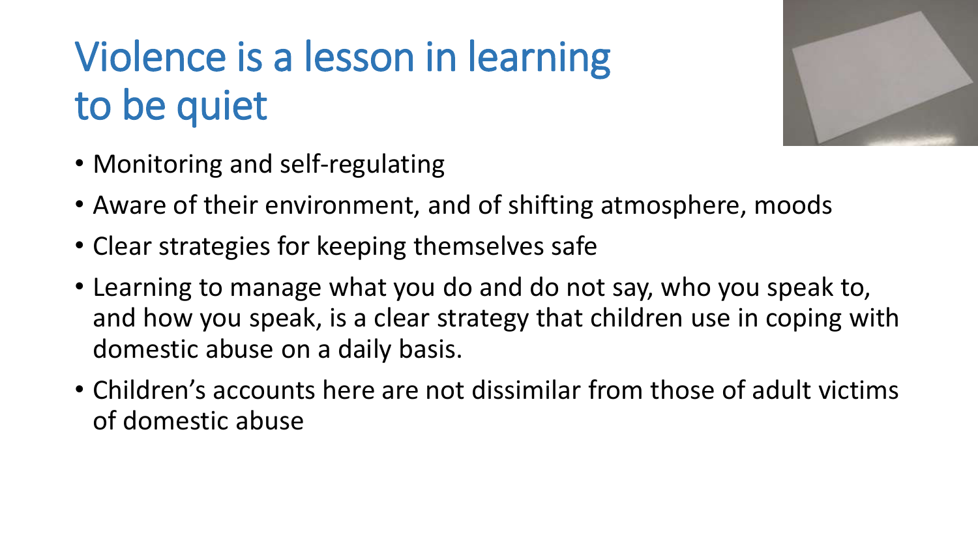## Violence is a lesson in learning to be quiet



- Monitoring and self-regulating
- Aware of their environment, and of shifting atmosphere, moods
- Clear strategies for keeping themselves safe
- Learning to manage what you do and do not say, who you speak to, and how you speak, is a clear strategy that children use in coping with domestic abuse on a daily basis.
- Children's accounts here are not dissimilar from those of adult victims of domestic abuse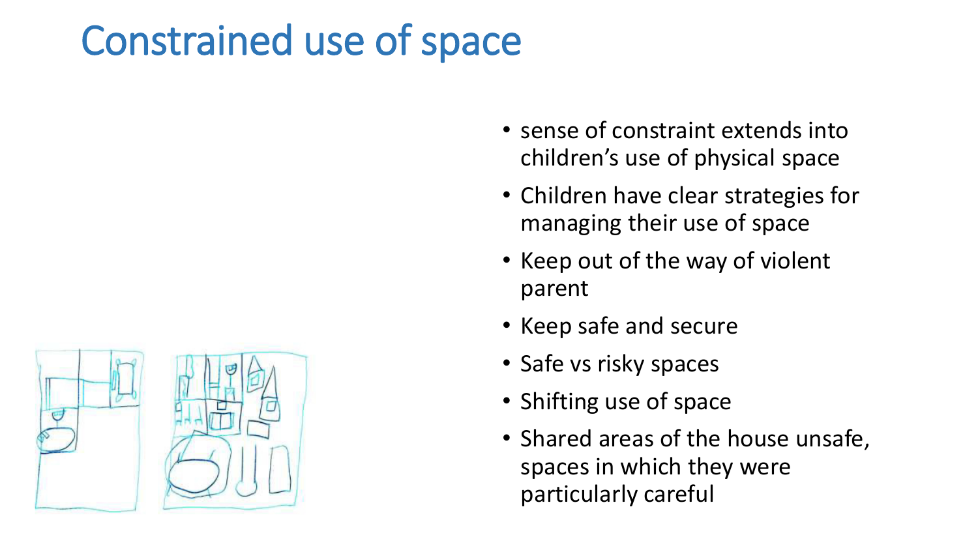### Constrained use of space

- sense of constraint extends into children's use of physical space
- Children have clear strategies for managing their use of space
- Keep out of the way of violent parent
- Keep safe and secure
- Safe vs risky spaces
- Shifting use of space
- Shared areas of the house unsafe, spaces in which they were particularly careful

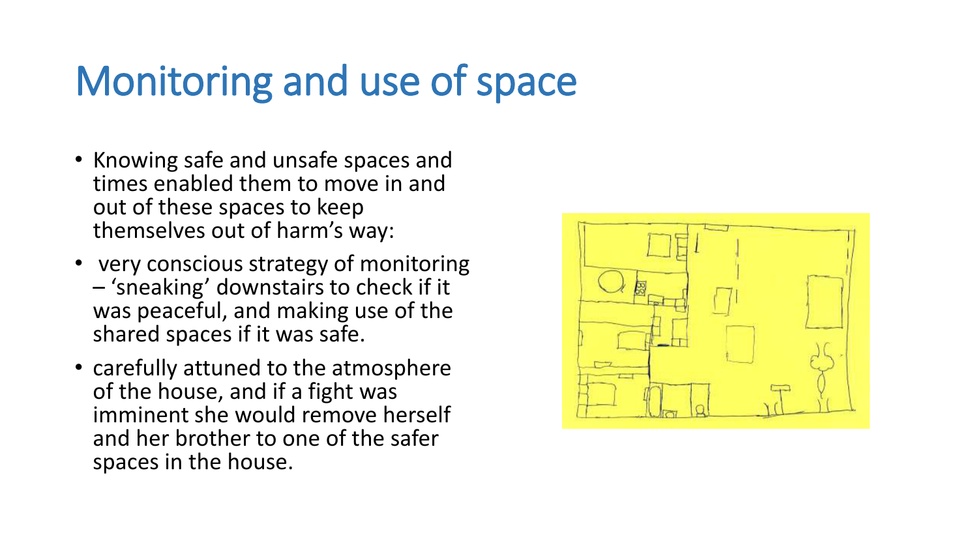### Monitoring and use of space

- Knowing safe and unsafe spaces and times enabled them to move in and out of these spaces to keep themselves out of harm's way:
- very conscious strategy of monitoring  $-$  'sneaking' downstairs to check if it was peaceful, and making use of the shared spaces if it was safe.
- carefully attuned to the atmosphere of the house, and if a fight was imminent she would remove herself and her brother to one of the safer spaces in the house.

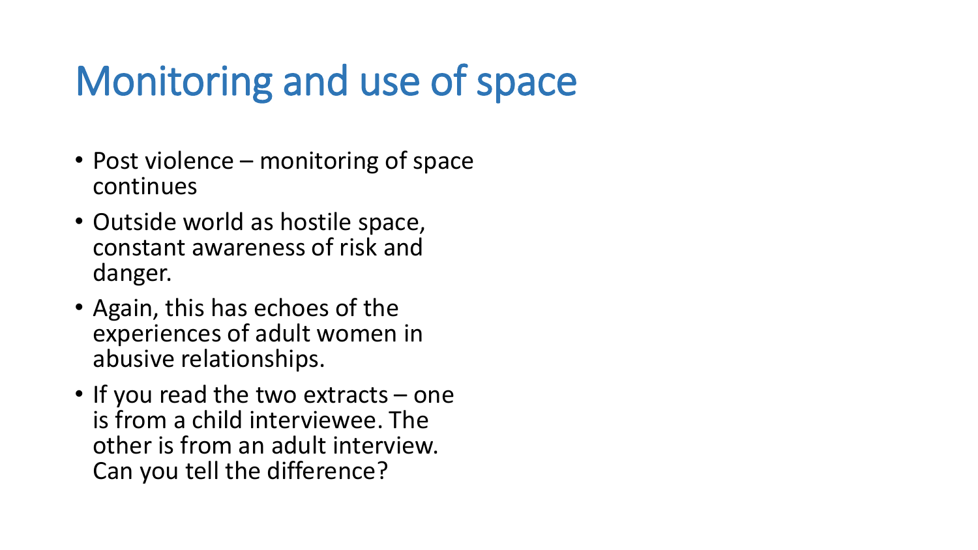### Monitoring and use of space

- Post violence monitoring of space continues
- Outside world as hostile space, constant awareness of risk and danger.
- Again, this has echoes of the experiences of adult women in abusive relationships.
- If you read the two extracts one is from a child interviewee. The other is from an adult interview. Can you tell the difference?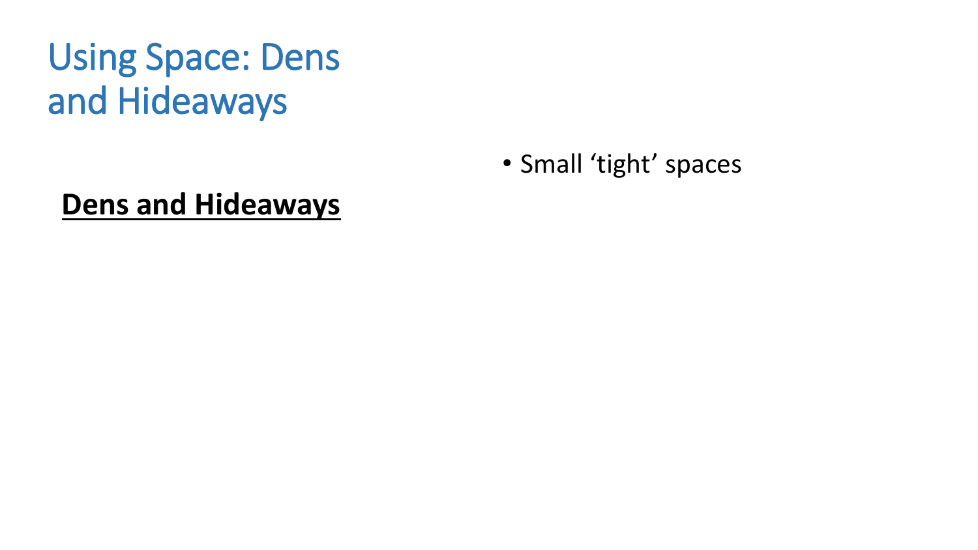### **Using Space: Dens** and Hideaways

• Small 'tight' spaces

#### **Dens and Hideaways**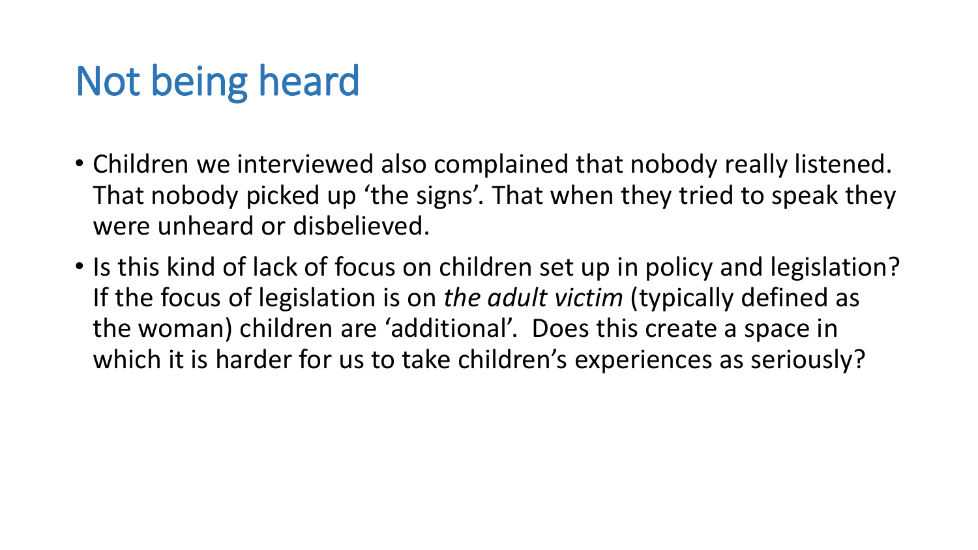### Not being heard

- Children we interviewed also complained that nobody really listened. That nobody picked up 'the signs'. That when they tried to speak they were unheard or disbelieved.
- Is this kind of lack of focus on children set up in policy and legislation? If the focus of legislation is on the adult victim (typically defined as the woman) children are 'additional'. Does this create a space in which it is harder for us to take children's experiences as seriously?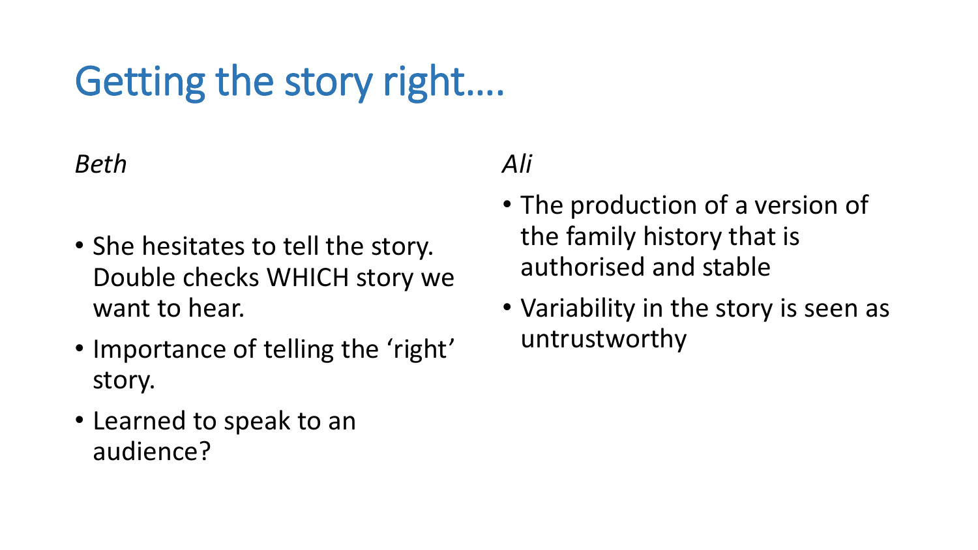## Getting the story right....

#### *Beth*

- She hesitates to tell the story. Double checks WHICH story we want to hear.
- Importance of telling the 'right' story.
- Learned to speak to an audience?

#### *Ali*

- The production of a version of the family history that is authorised and stable
- Variability in the story is seen as untrustworthy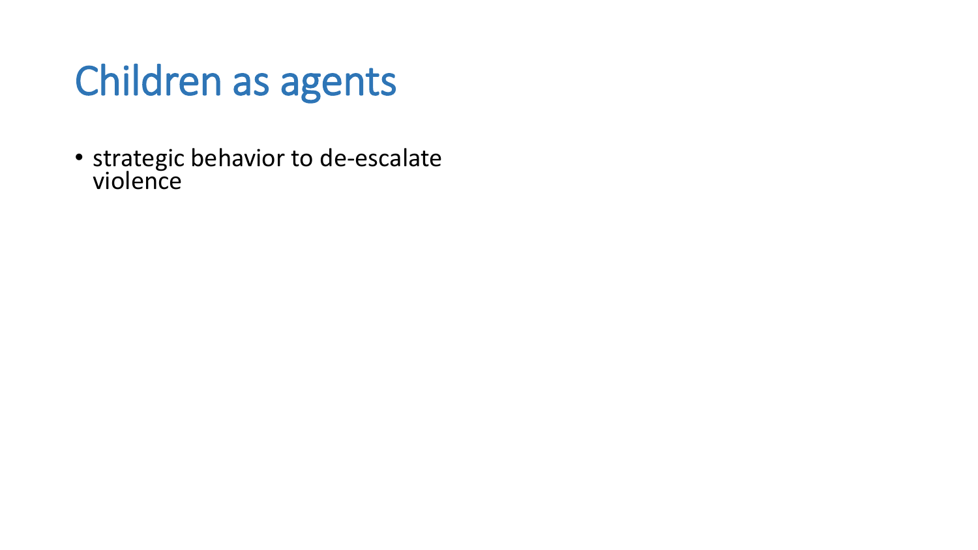### Children as agents

• strategic behavior to de-escalate violence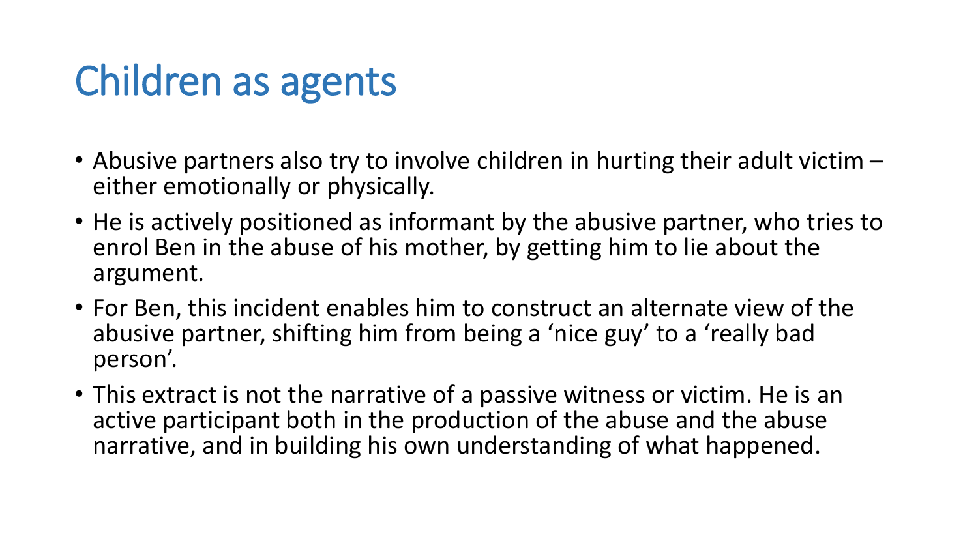### Children as agents

- Abusive partners also try to involve children in hurting their adult victim  $$ either emotionally or physically.
- He is actively positioned as informant by the abusive partner, who tries to enrol Ben in the abuse of his mother, by getting him to lie about the argument.
- For Ben, this incident enables him to construct an alternate view of the abusive partner, shifting him from being a 'nice guy' to a 'really bad person'.
- This extract is not the narrative of a passive witness or victim. He is an active participant both in the production of the abuse and the abuse narrative, and in building his own understanding of what happened.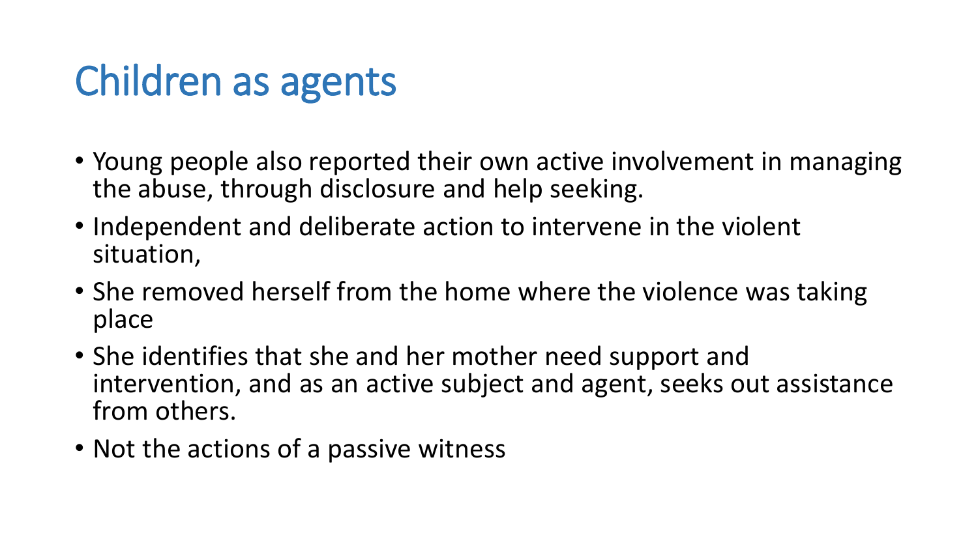### Children as agents

- Young people also reported their own active involvement in managing the abuse, through disclosure and help seeking.
- Independent and deliberate action to intervene in the violent situation,
- She removed herself from the home where the violence was taking place
- She identifies that she and her mother need support and intervention, and as an active subject and agent, seeks out assistance from others.
- Not the actions of a passive witness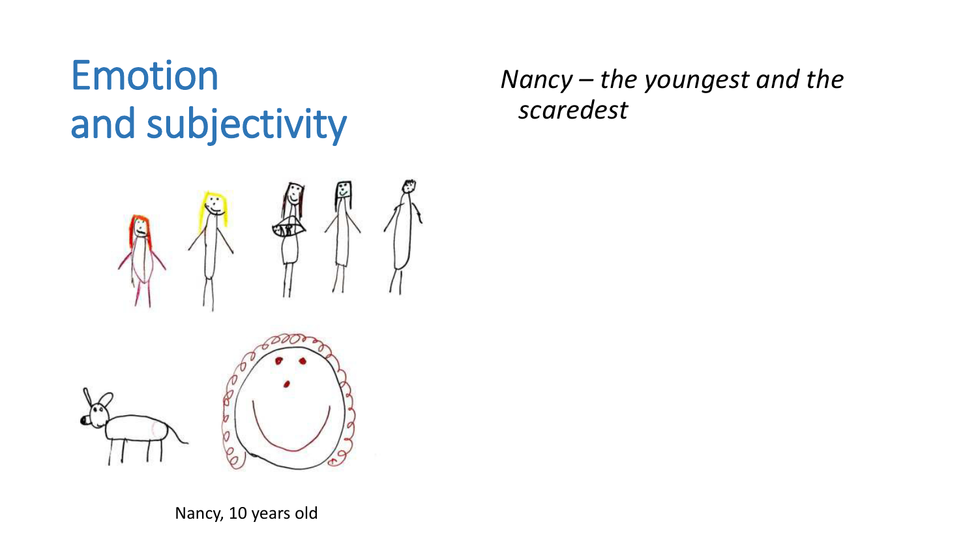### Emotion and subjectivity

#### *Nancy – the youngest and the scaredest*



Nancy, 10 years old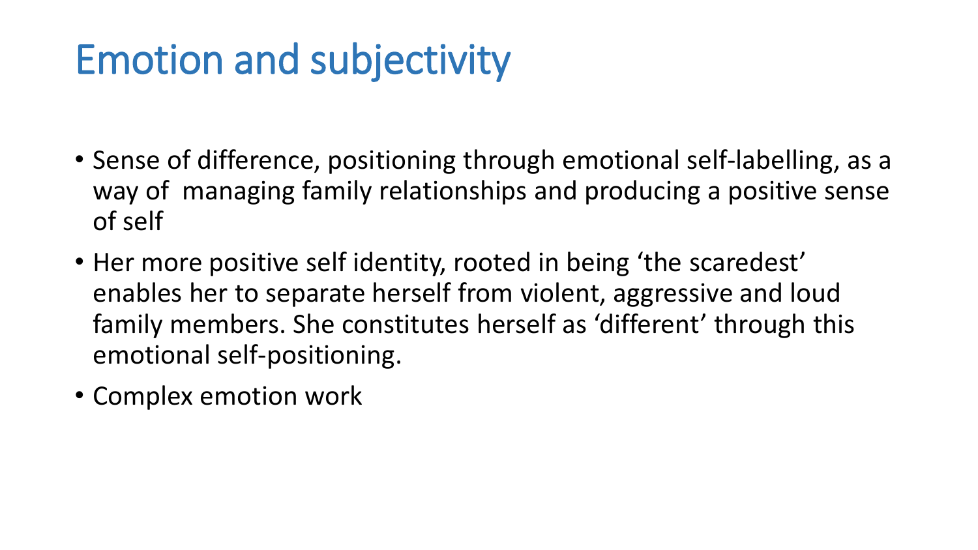### **Emotion and subjectivity**

- Sense of difference, positioning through emotional self-labelling, as a way of managing family relationships and producing a positive sense of self
- Her more positive self identity, rooted in being 'the scaredest' enables her to separate herself from violent, aggressive and loud family members. She constitutes herself as 'different' through this emotional self-positioning.
- Complex emotion work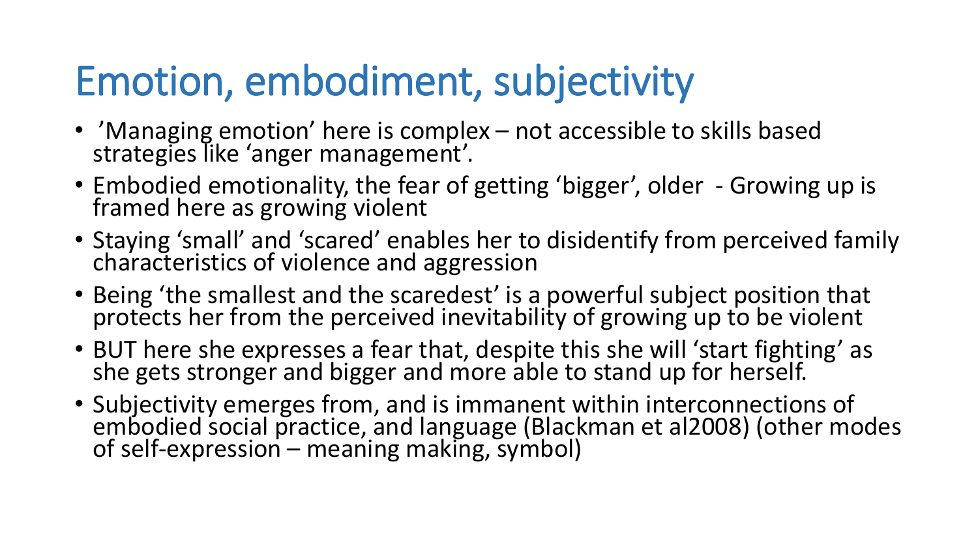### Emotion, embodiment, subjectivity

- 'Managing emotion' here is complex not accessible to skills based<br>strategies like 'anger management'.
- Embodied emotionality, the fear of getting 'bigger', older Growing up is framed here as growing violent
- Staying 'small' and 'scared' enables her to disidentify from perceived family characteristics of violence and aggression
- Being 'the smallest and the scaredest' is a powerful subject position that protects her from the perceived inevitability of growing up to be violent
- BUT here she expresses a fear that, despite this she will 'start fighting' as she gets stronger and bigger and more able to stand up for herself.
- Subjectivity emerges from, and is immanent within interconnections of embodied social practice, and language (Blackman et al2008) (other modes of self-expression – meaning making, symbol)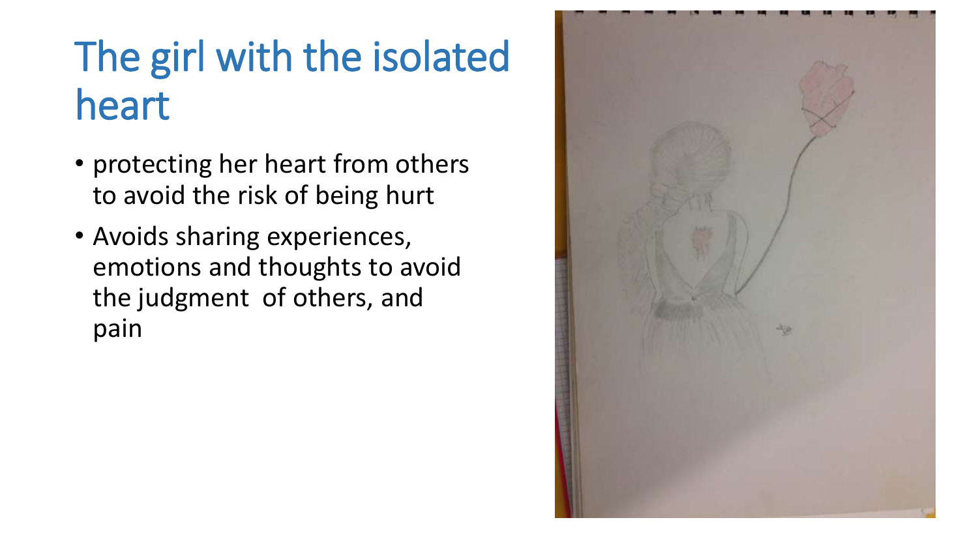### The girl with the isolated heart

- protecting her heart from others to avoid the risk of being hurt
- Avoids sharing experiences, emotions and thoughts to avoid the judgment of others, and pain

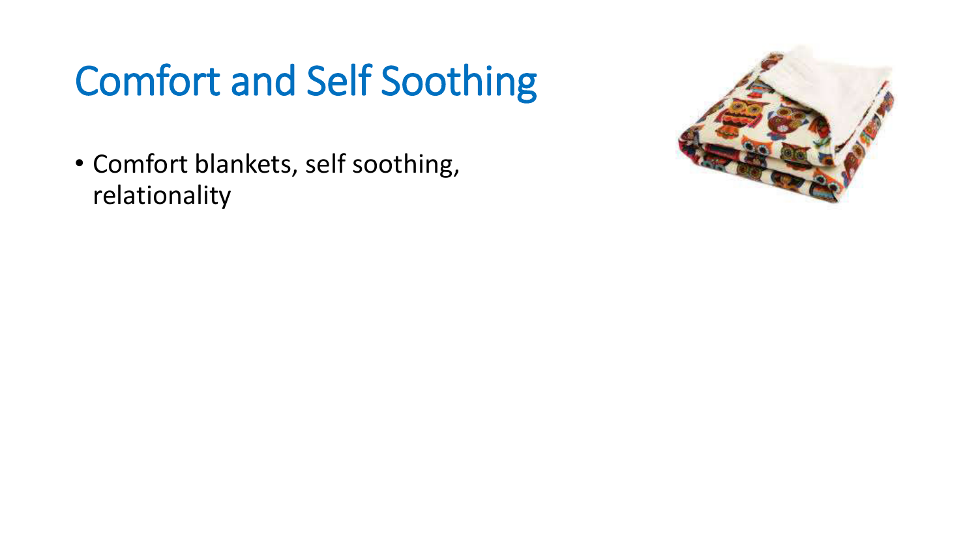### Comfort and Self Soothing

• Comfort blankets, self soothing, relationality

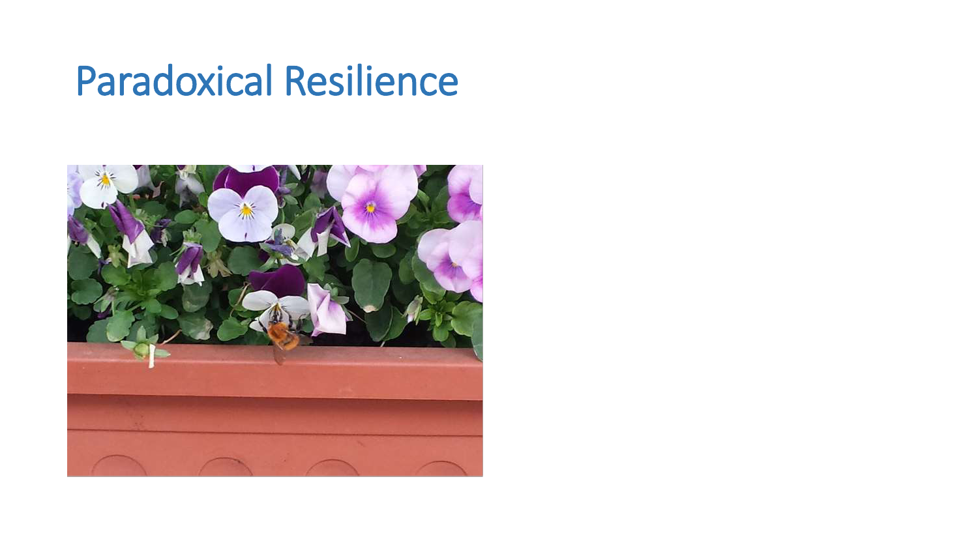### Paradoxical Resilience

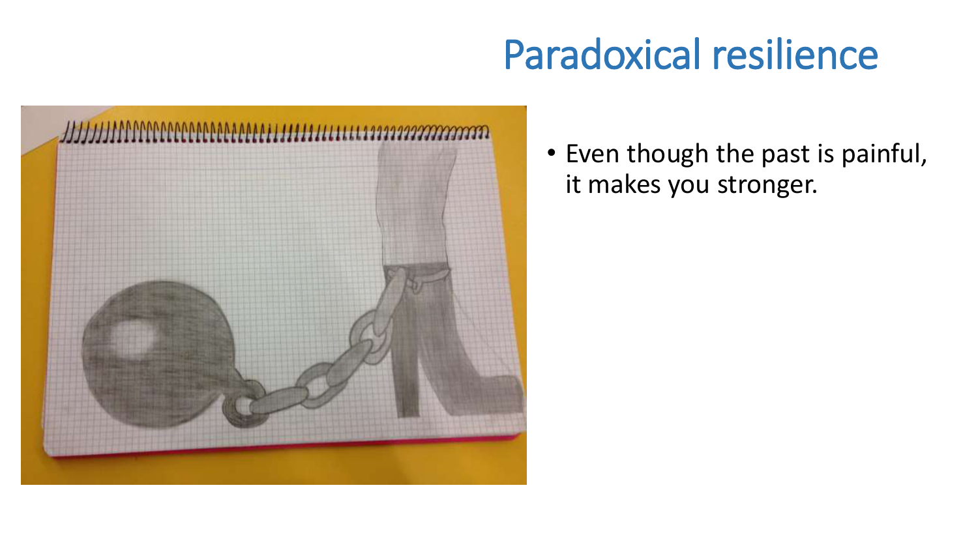### Paradoxical resilience



• Even though the past is painful, it makes you stronger.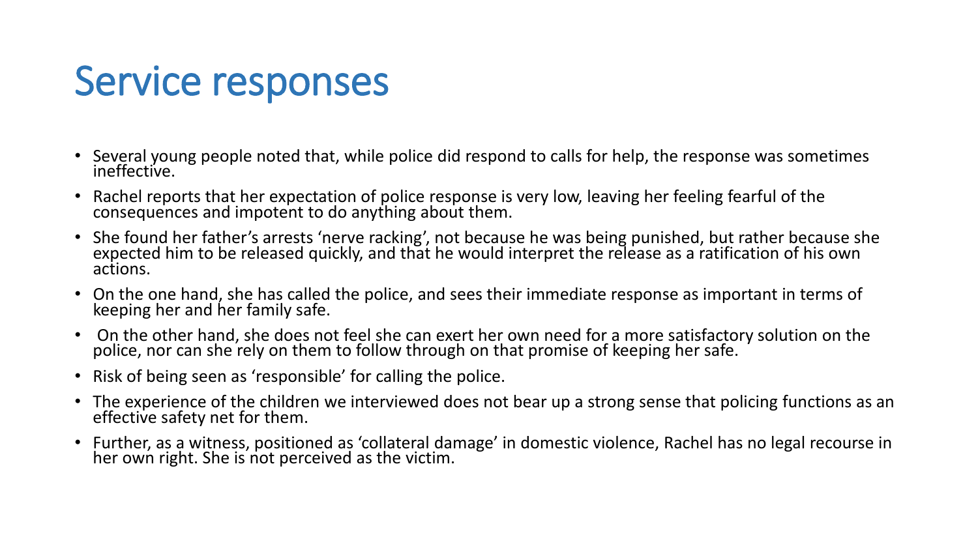### **Service responses**

- Several young people noted that, while police did respond to calls for help, the response was sometimes ineffective.
- Rachel reports that her expectation of police response is very low, leaving her feeling fearful of the  $\bullet$ consequences and impotent to do anything about them.
- She found her father's arrests 'nerve racking', not because he was being punished, but rather because she  $\bullet$ expected him to be released quickly, and that he would interpret the release as a ratification of his own actions.
- On the one hand, she has called the police, and sees their immediate response as important in terms of keeping her and her family safe.
- On the other hand, she does not feel she can exert her own need for a more satisfactory solution on the police, nor can she rely on them to follow through on that promise of keeping her safe.
- Risk of being seen as 'responsible' for calling the police.  $\bullet$
- The experience of the children we interviewed does not bear up a strong sense that policing functions as an effective safety net for them.
- Further, as a witness, positioned as 'collateral damage' in domestic violence, Rachel has no legal recourse in  $\bullet$ her own right. She is not perceived as the victim.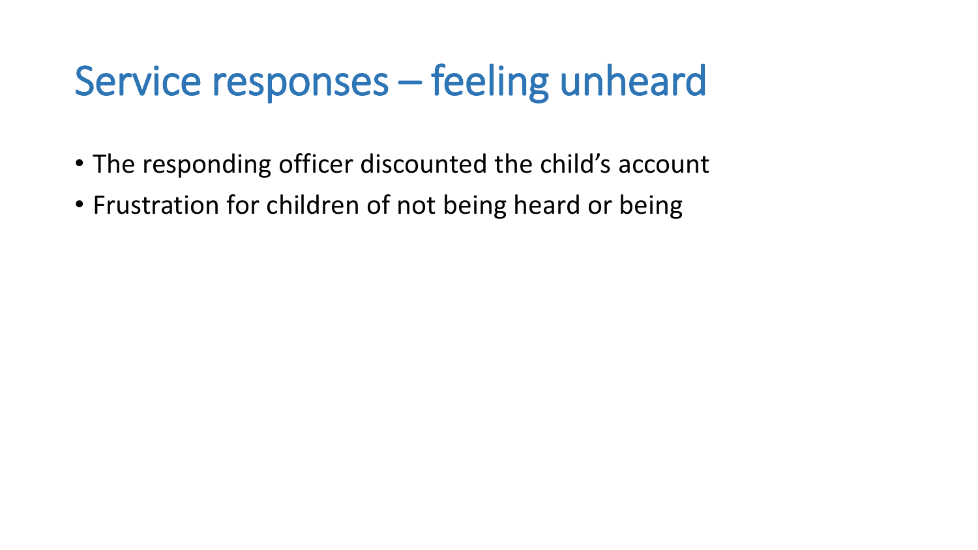### Service responses – feeling unheard

- The responding officer discounted the child's account
- Frustration for children of not being heard or being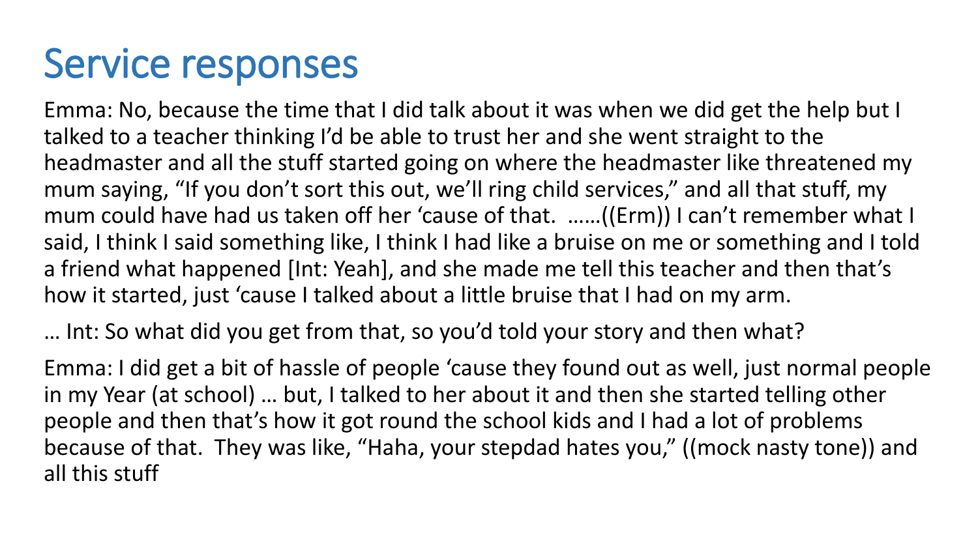### **Service responses**

Emma: No, because the time that I did talk about it was when we did get the help but I talked to a teacher thinking I'd be able to trust her and she went straight to the headmaster and all the stuff started going on where the headmaster like threatened my mum saying, "If you don't sort this out, we'll ring child services," and all that stuff, my mum could have had us taken off her 'cause of that. ......((Erm)) I can't remember what I said, I think I said something like, I think I had like a bruise on me or something and I told a friend what happened [Int: Yeah], and she made me tell this teacher and then that's how it started, just 'cause I talked about a little bruise that I had on my arm.

... Int: So what did you get from that, so you'd told your story and then what?

Emma: I did get a bit of hassle of people 'cause they found out as well, just normal people in my Year (at school) ... but, I talked to her about it and then she started telling other people and then that's how it got round the school kids and I had a lot of problems because of that. They was like, "Haha, your stepdad hates you," ((mock nasty tone)) and all this stuff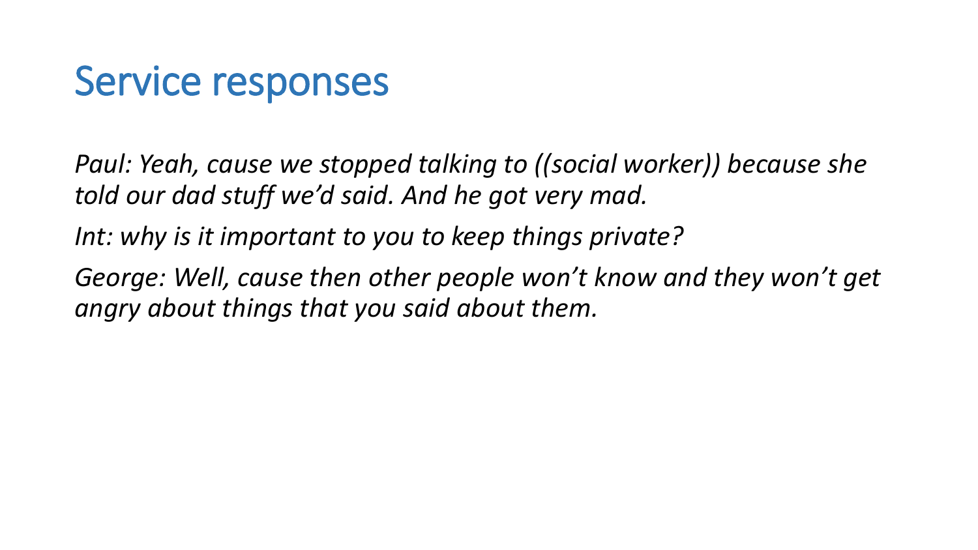### Service responses

*Paul: Yeah, cause we stopped talking to ((social worker)) because she told our dad stuff we'd said. And he got very mad.* 

*Int: why is it important to you to keep things private?*

George: Well, cause then other people won't know and they won't get *angry about things that you said about them.*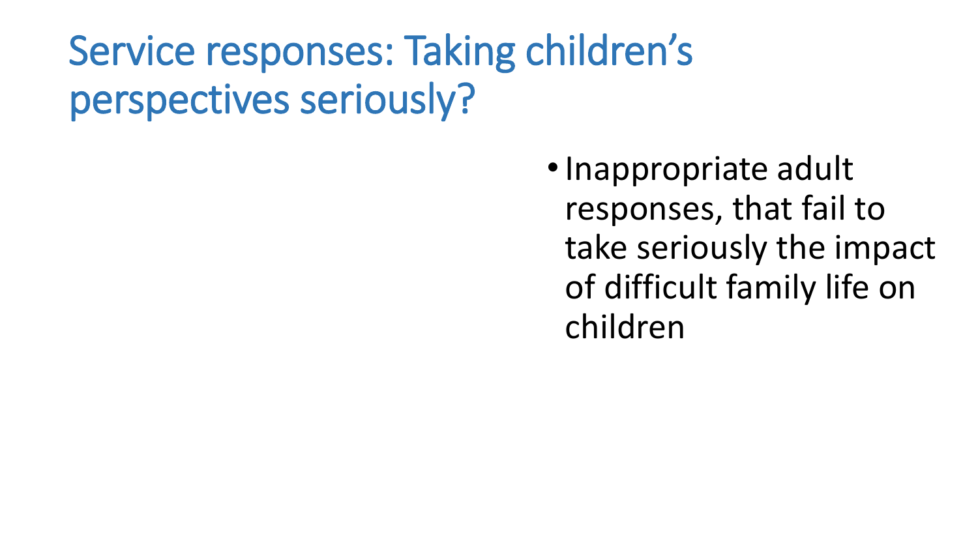### Service responses: Taking children's perspectives seriously?

• Inappropriate adult responses, that fail to take seriously the impact of difficult family life on children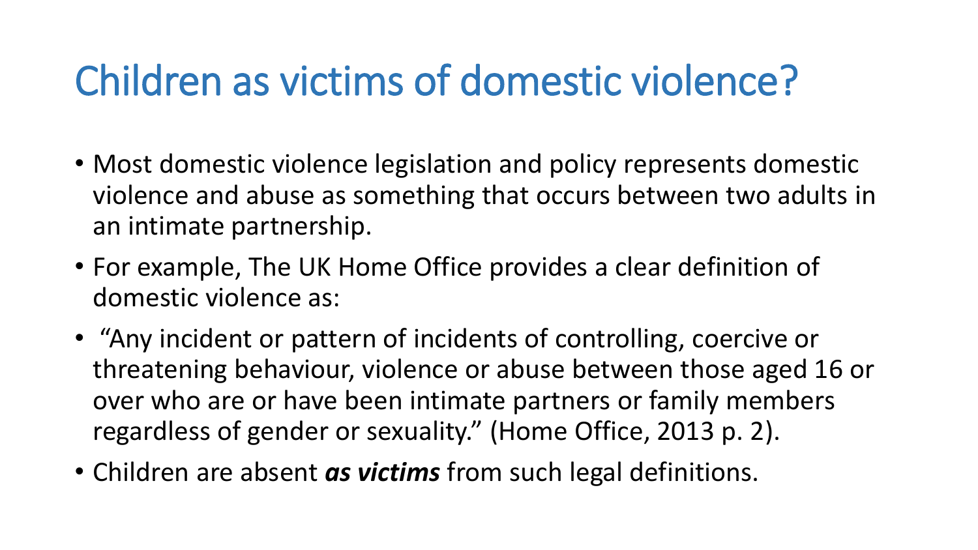### Children as victims of domestic violence?

- Most domestic violence legislation and policy represents domestic violence and abuse as something that occurs between two adults in an intimate partnership.
- For example, The UK Home Office provides a clear definition of domestic violence as:
- "Any incident or pattern of incidents of controlling, coercive or threatening behaviour, violence or abuse between those aged 16 or over who are or have been intimate partners or family members regardless of gender or sexuality." (Home Office, 2013 p. 2).
- Children are absent as victims from such legal definitions.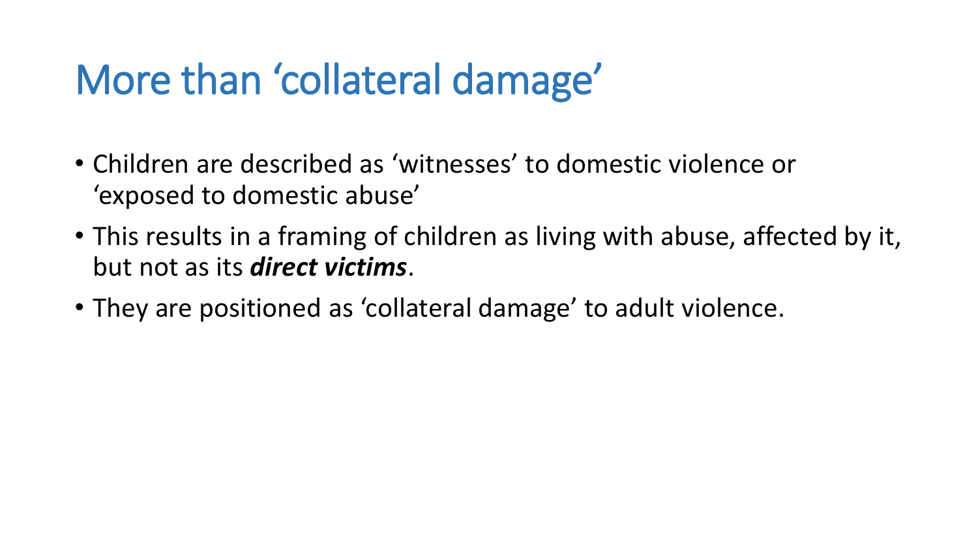### More than 'collateral damage'

- Children are described as 'witnesses' to domestic violence or 'exposed to domestic abuse'
- This results in a framing of children as living with abuse, affected by it, but not as its *direct victims*.
- They are positioned as 'collateral damage' to adult violence.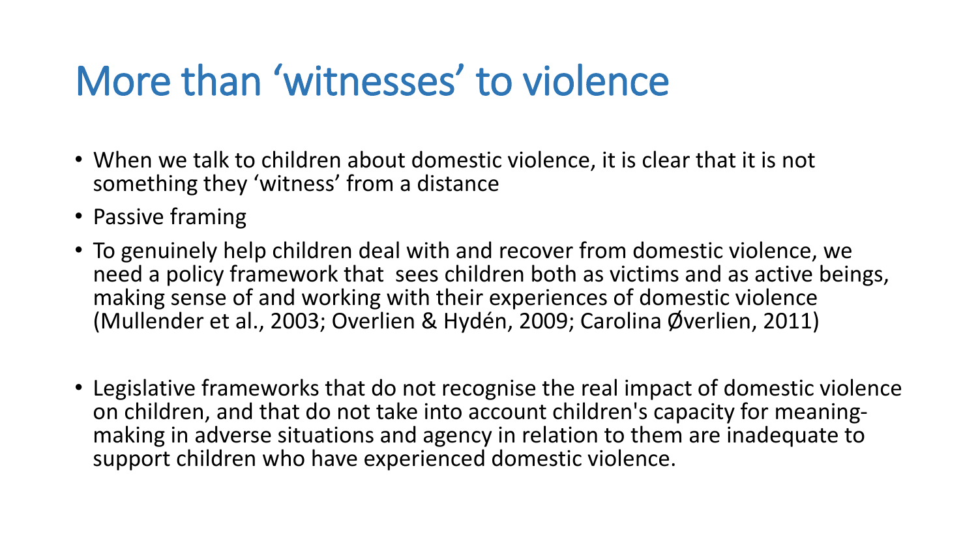### More than 'witnesses' to violence

- When we talk to children about domestic violence, it is clear that it is not something they 'witness' from a distance
- Passive framing
- To genuinely help children deal with and recover from domestic violence, we need a policy framework that sees children both as victims and as active beings, making sense of and working with their experiences of domestic violence (Mullender et al., 2003; Overlien & Hydén, 2009; Carolina Øverlien, 2011)
- Legislative frameworks that do not recognise the real impact of domestic violence on children, and that do not take into account children's capacity for meaningmaking in adverse situations and agency in relation to them are inadequate to support children who have experienced domestic violence.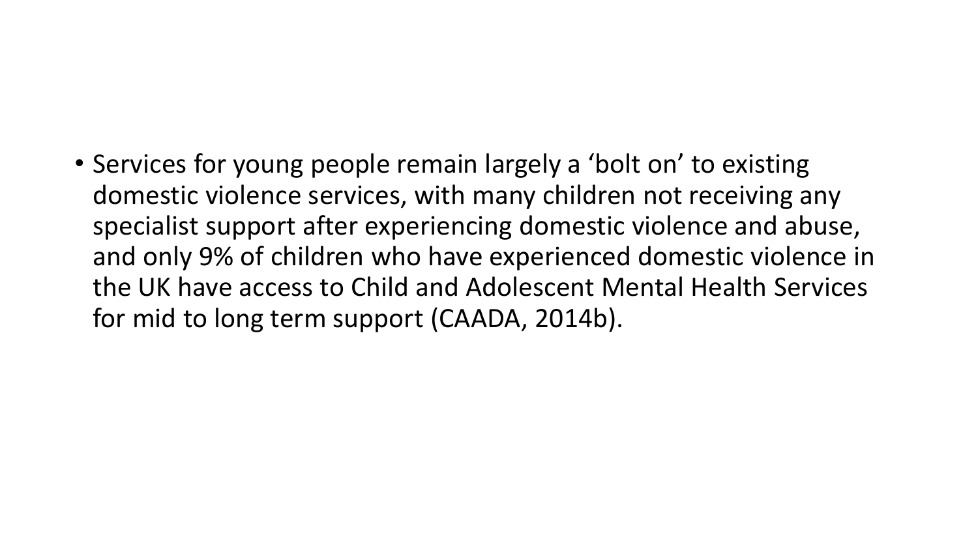#### • Services for young people remain largely a 'bolt on' to existing domestic violence services, with many children not receiving any specialist support after experiencing domestic violence and abuse, and only 9% of children who have experienced domestic violence in the UK have access to Child and Adolescent Mental Health Services for mid to long term support (CAADA, 2014b).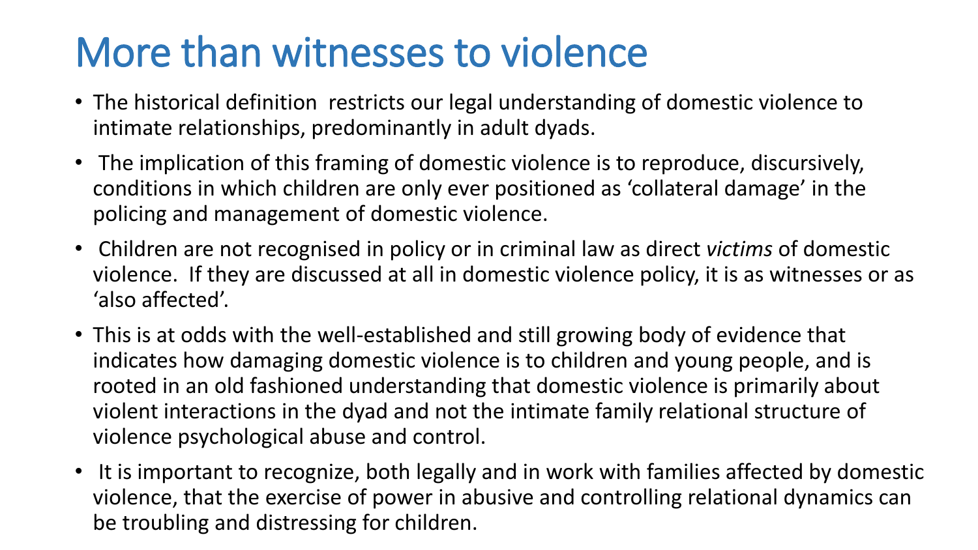### More than witnesses to violence

- The historical definition restricts our legal understanding of domestic violence to intimate relationships, predominantly in adult dyads.
- The implication of this framing of domestic violence is to reproduce, discursively, conditions in which children are only ever positioned as 'collateral damage' in the policing and management of domestic violence.
- Children are not recognised in policy or in criminal law as direct *victims* of domestic violence. If they are discussed at all in domestic violence policy, it is as witnesses or as 'also affected'.
- This is at odds with the well-established and still growing body of evidence that indicates how damaging domestic violence is to children and young people, and is rooted in an old fashioned understanding that domestic violence is primarily about violent interactions in the dyad and not the intimate family relational structure of violence psychological abuse and control.
- It is important to recognize, both legally and in work with families affected by domestic violence, that the exercise of power in abusive and controlling relational dynamics can be troubling and distressing for children.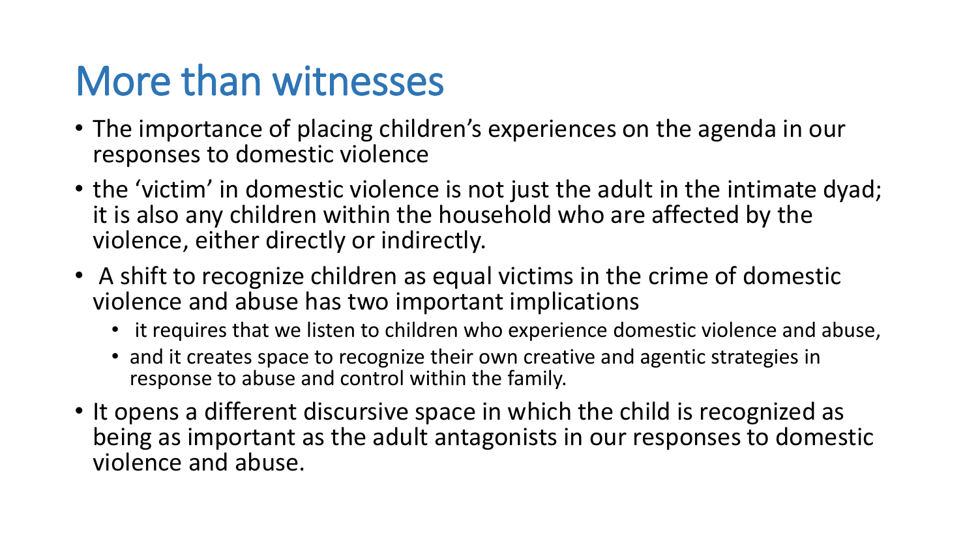### More than witnesses

- The importance of placing children's experiences on the agenda in our responses to domestic violence
- the 'victim' in domestic violence is not just the adult in the intimate dyad; it is also any children within the household who are affected by the violence, either directly or indirectly.
- A shift to recognize children as equal victims in the crime of domestic violence and abuse has two important implications
	- it requires that we listen to children who experience domestic violence and abuse,
	- and it creates space to recognize their own creative and agentic strategies in response to abuse and control within the family.
- It opens a different discursive space in which the child is recognized as being as important as the adult antagonists in our responses to domestic violence and abuse.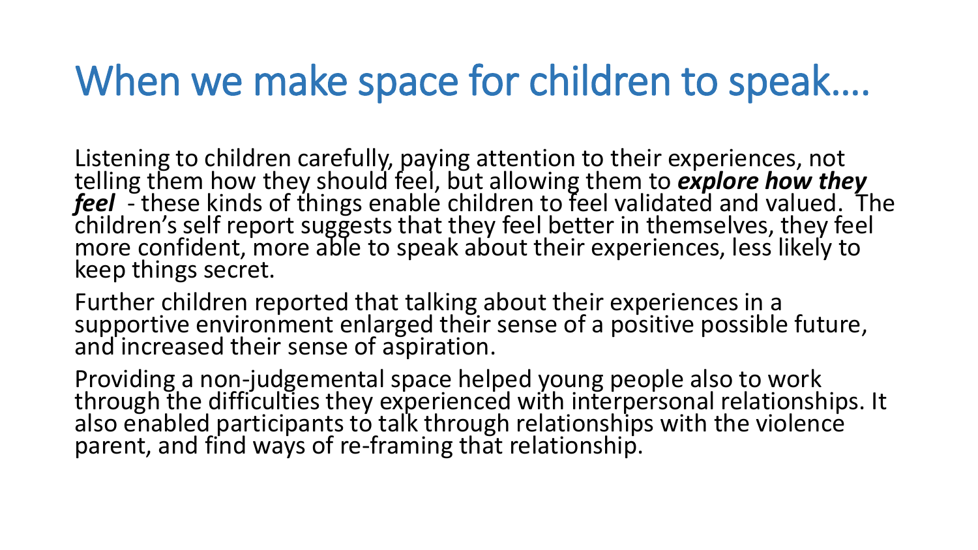### When we make space for children to speak....

Listening to children carefully, paying attention to their experiences, not<br>telling them how they should feel, but allowing them to **explore how they**<br>**feel** - these kinds of things enable children to feel validated and va keep things secret.

Further children reported that talking about their experiences in a supportive environment enlarged their sense of a positive possible future, and increased their sense of aspiration.

Providing a non-judgemental space helped young people also to work<br>through the difficulties they experienced with interpersonal relationships. It<br>also enabled participants to talk through relationships with the violence parent, and find ways of re-framing that relationship.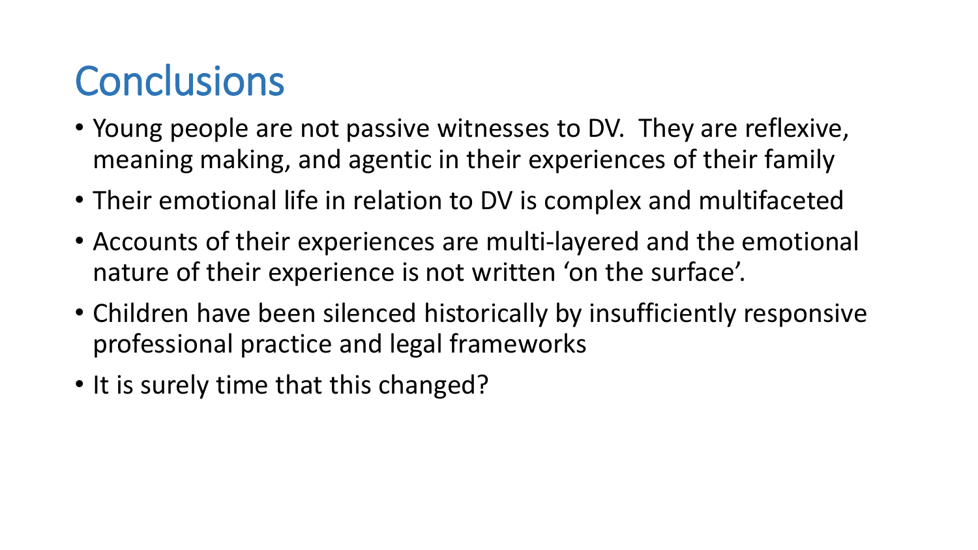### **Conclusions**

- Young people are not passive witnesses to DV. They are reflexive, meaning making, and agentic in their experiences of their family
- Their emotional life in relation to DV is complex and multifaceted
- Accounts of their experiences are multi-layered and the emotional nature of their experience is not written 'on the surface'.
- Children have been silenced historically by insufficiently responsive professional practice and legal frameworks
- It is surely time that this changed?